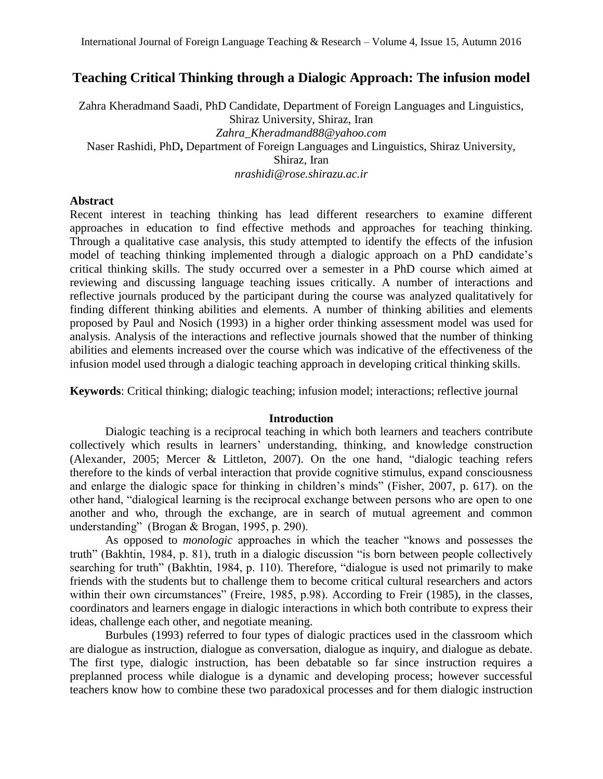# **Teaching Critical Thinking through a Dialogic Approach: The infusion model**

Zahra Kheradmand Saadi, PhD Candidate, Department of Foreign Languages and Linguistics, Shiraz University, Shiraz, Iran *Zahra\_Kheradmand88@yahoo.com* Naser Rashidi, PhD**,** Department of Foreign Languages and Linguistics, Shiraz University, Shiraz, Iran *nrashidi@rose.shirazu.ac.ir*

## **Abstract**

Recent interest in teaching thinking has lead different researchers to examine different approaches in education to find effective methods and approaches for teaching thinking. Through a qualitative case analysis, this study attempted to identify the effects of the infusion model of teaching thinking implemented through a dialogic approach on a PhD candidate's critical thinking skills. The study occurred over a semester in a PhD course which aimed at reviewing and discussing language teaching issues critically. A number of interactions and reflective journals produced by the participant during the course was analyzed qualitatively for finding different thinking abilities and elements. A number of thinking abilities and elements proposed by Paul and Nosich (1993) in a higher order thinking assessment model was used for analysis. Analysis of the interactions and reflective journals showed that the number of thinking abilities and elements increased over the course which was indicative of the effectiveness of the infusion model used through a dialogic teaching approach in developing critical thinking skills.

**Keywords**: Critical thinking; dialogic teaching; infusion model; interactions; reflective journal

#### **Introduction**

Dialogic teaching is a reciprocal teaching in which both learners and teachers contribute collectively which results in learners' understanding, thinking, and knowledge construction (Alexander, 2005; Mercer & Littleton, 2007). On the one hand, "dialogic teaching refers therefore to the kinds of verbal interaction that provide cognitive stimulus, expand consciousness and enlarge the dialogic space for thinking in children's minds" (Fisher, 2007, p. 617). on the other hand, "dialogical learning is the reciprocal exchange between persons who are open to one another and who, through the exchange, are in search of mutual agreement and common understanding" (Brogan & Brogan, 1995, p. 290).

As opposed to *monologic* approaches in which the teacher "knows and possesses the truth" (Bakhtin, 1984, p. 81), truth in a dialogic discussion "is born between people collectively searching for truth" (Bakhtin, 1984, p. 110). Therefore, "dialogue is used not primarily to make friends with the students but to challenge them to become critical cultural researchers and actors within their own circumstances" (Freire, 1985, p.98). According to Freir (1985), in the classes, coordinators and learners engage in dialogic interactions in which both contribute to express their ideas, challenge each other, and negotiate meaning.

Burbules (1993) referred to four types of dialogic practices used in the classroom which are dialogue as instruction, dialogue as conversation, dialogue as inquiry, and dialogue as debate. The first type, dialogic instruction, has been debatable so far since instruction requires a preplanned process while dialogue is a dynamic and developing process; however successful teachers know how to combine these two paradoxical processes and for them dialogic instruction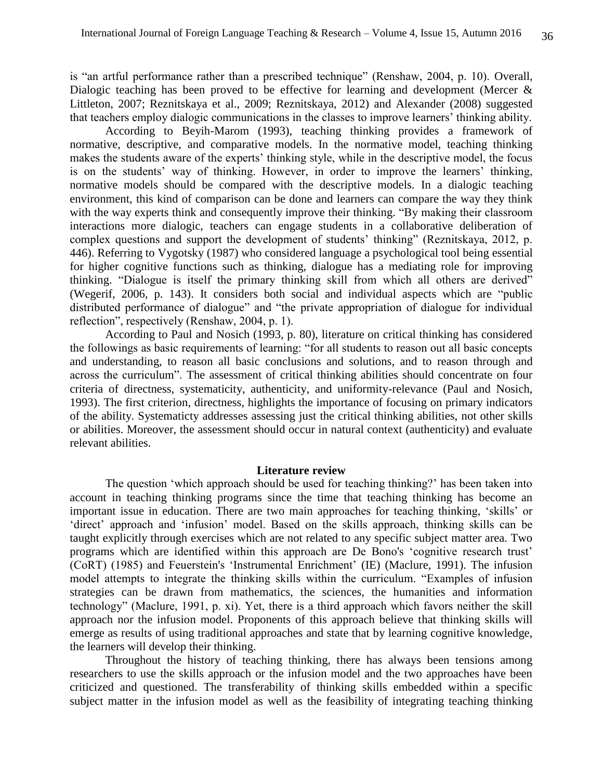is "an artful performance rather than a prescribed technique" (Renshaw, 2004, p. 10). Overall, Dialogic teaching has been proved to be effective for learning and development (Mercer & Littleton, 2007; Reznitskaya et al., 2009; Reznitskaya, 2012) and Alexander (2008) suggested that teachers employ dialogic communications in the classes to improve learners' thinking ability.

According to Beyih-Marom (1993), teaching thinking provides a framework of normative, descriptive, and comparative models. In the normative model, teaching thinking makes the students aware of the experts' thinking style, while in the descriptive model, the focus is on the students' way of thinking. However, in order to improve the learners' thinking, normative models should be compared with the descriptive models. In a dialogic teaching environment, this kind of comparison can be done and learners can compare the way they think with the way experts think and consequently improve their thinking. "By making their classroom" interactions more dialogic, teachers can engage students in a collaborative deliberation of complex questions and support the development of students' thinking" (Reznitskaya, 2012, p. 446). Referring to Vygotsky (1987) who considered language a psychological tool being essential for higher cognitive functions such as thinking, dialogue has a mediating role for improving thinking. "Dialogue is itself the primary thinking skill from which all others are derived" (Wegerif, 2006, p. 143). It considers both social and individual aspects which are "public distributed performance of dialogue" and "the private appropriation of dialogue for individual reflection", respectively (Renshaw, 2004, p. 1).

According to Paul and Nosich (1993, p. 80), literature on critical thinking has considered the followings as basic requirements of learning: "for all students to reason out all basic concepts and understanding, to reason all basic conclusions and solutions, and to reason through and across the curriculum". The assessment of critical thinking abilities should concentrate on four criteria of directness, systematicity, authenticity, and uniformity-relevance (Paul and Nosich, 1993). The first criterion, directness, highlights the importance of focusing on primary indicators of the ability. Systematicty addresses assessing just the critical thinking abilities, not other skills or abilities. Moreover, the assessment should occur in natural context (authenticity) and evaluate relevant abilities.

### **Literature review**

The question 'which approach should be used for teaching thinking?' has been taken into account in teaching thinking programs since the time that teaching thinking has become an important issue in education. There are two main approaches for teaching thinking, 'skills' or 'direct' approach and 'infusion' model. Based on the skills approach, thinking skills can be taught explicitly through exercises which are not related to any specific subject matter area. Two programs which are identified within this approach are De Bono's 'cognitive research trust' (CoRT) (1985) and Feuerstein's 'Instrumental Enrichment' (IE) (Maclure, 1991). The infusion model attempts to integrate the thinking skills within the curriculum. "Examples of infusion strategies can be drawn from mathematics, the sciences, the humanities and information technology" (Maclure, 1991, p. xi). Yet, there is a third approach which favors neither the skill approach nor the infusion model. Proponents of this approach believe that thinking skills will emerge as results of using traditional approaches and state that by learning cognitive knowledge, the learners will develop their thinking.

Throughout the history of teaching thinking, there has always been tensions among researchers to use the skills approach or the infusion model and the two approaches have been criticized and questioned. The transferability of thinking skills embedded within a specific subject matter in the infusion model as well as the feasibility of integrating teaching thinking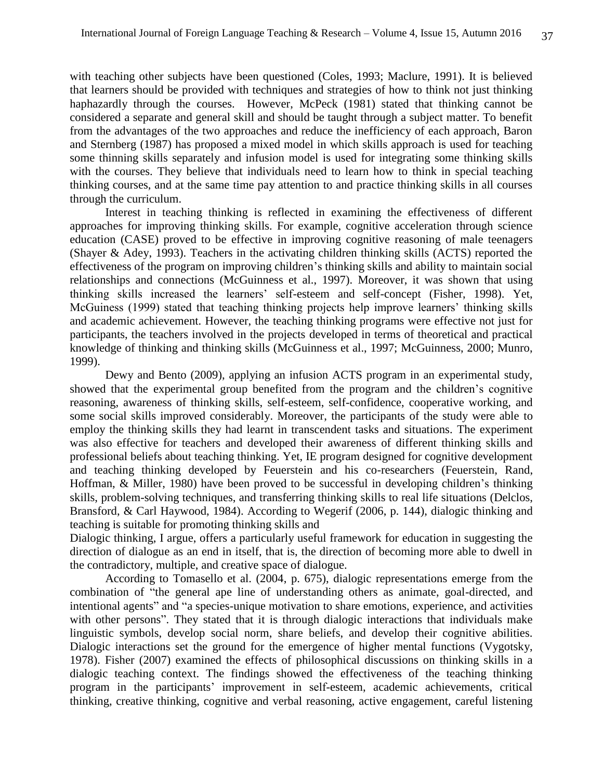with teaching other subjects have been questioned (Coles, 1993; Maclure, 1991). It is believed that learners should be provided with techniques and strategies of how to think not just thinking haphazardly through the courses. However, McPeck (1981) stated that thinking cannot be considered a separate and general skill and should be taught through a subject matter. To benefit from the advantages of the two approaches and reduce the inefficiency of each approach, Baron and Sternberg (1987) has proposed a mixed model in which skills approach is used for teaching some thinning skills separately and infusion model is used for integrating some thinking skills with the courses. They believe that individuals need to learn how to think in special teaching thinking courses, and at the same time pay attention to and practice thinking skills in all courses through the curriculum.

Interest in teaching thinking is reflected in examining the effectiveness of different approaches for improving thinking skills. For example, cognitive acceleration through science education (CASE) proved to be effective in improving cognitive reasoning of male teenagers (Shayer & Adey, 1993). Teachers in the activating children thinking skills (ACTS) reported the effectiveness of the program on improving children's thinking skills and ability to maintain social relationships and connections (McGuinness et al., 1997). Moreover, it was shown that using thinking skills increased the learners' self-esteem and self-concept (Fisher, 1998). Yet, McGuiness (1999) stated that teaching thinking projects help improve learners' thinking skills and academic achievement. However, the teaching thinking programs were effective not just for participants, the teachers involved in the projects developed in terms of theoretical and practical knowledge of thinking and thinking skills (McGuinness et al., 1997; McGuinness, 2000; Munro, 1999).

Dewy and Bento (2009), applying an infusion ACTS program in an experimental study, showed that the experimental group benefited from the program and the children's cognitive reasoning, awareness of thinking skills, self-esteem, self-confidence, cooperative working, and some social skills improved considerably. Moreover, the participants of the study were able to employ the thinking skills they had learnt in transcendent tasks and situations. The experiment was also effective for teachers and developed their awareness of different thinking skills and professional beliefs about teaching thinking. Yet, IE program designed for cognitive development and teaching thinking developed by Feuerstein and his co-researchers (Feuerstein, Rand, Hoffman, & Miller, 1980) have been proved to be successful in developing children's thinking skills, problem-solving techniques, and transferring thinking skills to real life situations (Delclos, Bransford, & Carl Haywood, 1984). According to Wegerif (2006, p. 144), dialogic thinking and teaching is suitable for promoting thinking skills and

Dialogic thinking, I argue, offers a particularly useful framework for education in suggesting the direction of dialogue as an end in itself, that is, the direction of becoming more able to dwell in the contradictory, multiple, and creative space of dialogue.

According to Tomasello et al. (2004, p. 675), dialogic representations emerge from the combination of "the general ape line of understanding others as animate, goal-directed, and intentional agents" and "a species-unique motivation to share emotions, experience, and activities with other persons". They stated that it is through dialogic interactions that individuals make linguistic symbols, develop social norm, share beliefs, and develop their cognitive abilities. Dialogic interactions set the ground for the emergence of higher mental functions (Vygotsky, 1978). Fisher (2007) examined the effects of philosophical discussions on thinking skills in a dialogic teaching context. The findings showed the effectiveness of the teaching thinking program in the participants' improvement in self-esteem, academic achievements, critical thinking, creative thinking, cognitive and verbal reasoning, active engagement, careful listening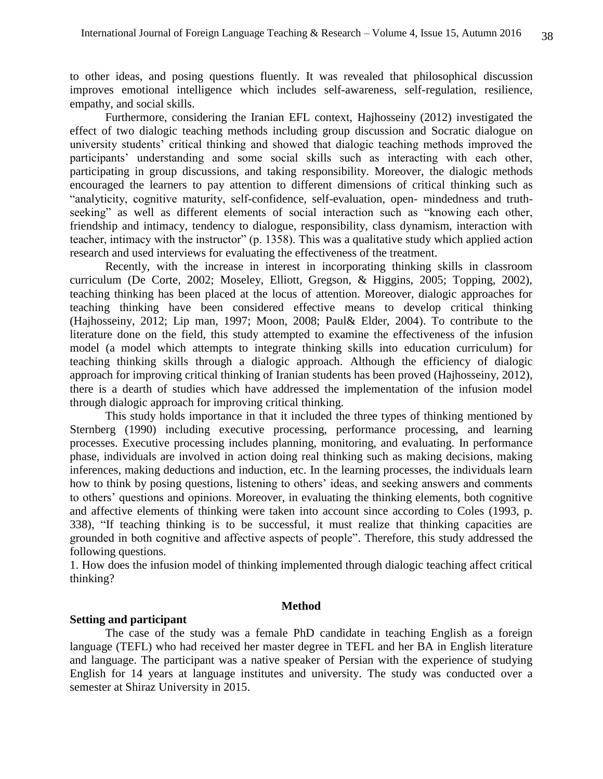to other ideas, and posing questions fluently. It was revealed that philosophical discussion improves emotional intelligence which includes self-awareness, self-regulation, resilience, empathy, and social skills.

Furthermore, considering the Iranian EFL context, Hajhosseiny (2012) investigated the effect of two dialogic teaching methods including group discussion and Socratic dialogue on university students' critical thinking and showed that dialogic teaching methods improved the participants' understanding and some social skills such as interacting with each other, participating in group discussions, and taking responsibility. Moreover, the dialogic methods encouraged the learners to pay attention to different dimensions of critical thinking such as "analyticity, cognitive maturity, self-confidence, self-evaluation, open- mindedness and truthseeking" as well as different elements of social interaction such as "knowing each other, friendship and intimacy, tendency to dialogue, responsibility, class dynamism, interaction with teacher, intimacy with the instructor" (p. 1358). This was a qualitative study which applied action research and used interviews for evaluating the effectiveness of the treatment.

Recently, with the increase in interest in incorporating thinking skills in classroom curriculum (De Corte, 2002; Moseley, Elliott, Gregson, & Higgins, 2005; Topping, 2002), teaching thinking has been placed at the locus of attention. Moreover, dialogic approaches for teaching thinking have been considered effective means to develop critical thinking (Hajhosseiny, 2012; Lip man, 1997; Moon, 2008; Paul& Elder, 2004). To contribute to the literature done on the field, this study attempted to examine the effectiveness of the infusion model (a model which attempts to integrate thinking skills into education curriculum) for teaching thinking skills through a dialogic approach. Although the efficiency of dialogic approach for improving critical thinking of Iranian students has been proved (Hajhosseiny, 2012), there is a dearth of studies which have addressed the implementation of the infusion model through dialogic approach for improving critical thinking.

This study holds importance in that it included the three types of thinking mentioned by Sternberg (1990) including executive processing, performance processing, and learning processes. Executive processing includes planning, monitoring, and evaluating. In performance phase, individuals are involved in action doing real thinking such as making decisions, making inferences, making deductions and induction, etc. In the learning processes, the individuals learn how to think by posing questions, listening to others' ideas, and seeking answers and comments to others' questions and opinions. Moreover, in evaluating the thinking elements, both cognitive and affective elements of thinking were taken into account since according to Coles (1993, p. 338), "If teaching thinking is to be successful, it must realize that thinking capacities are grounded in both cognitive and affective aspects of people". Therefore, this study addressed the following questions.

1. How does the infusion model of thinking implemented through dialogic teaching affect critical thinking?

### **Method**

### **Setting and participant**

The case of the study was a female PhD candidate in teaching English as a foreign language (TEFL) who had received her master degree in TEFL and her BA in English literature and language. The participant was a native speaker of Persian with the experience of studying English for 14 years at language institutes and university. The study was conducted over a semester at Shiraz University in 2015.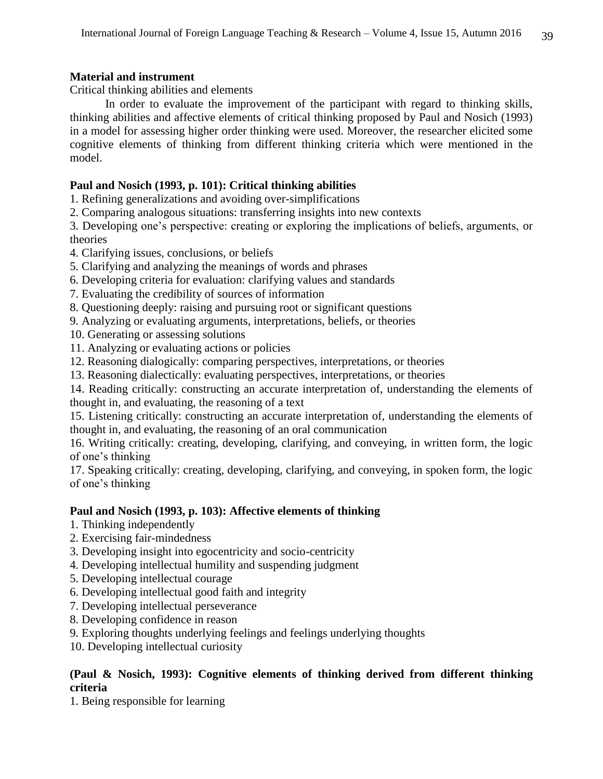## **Material and instrument**

Critical thinking abilities and elements

In order to evaluate the improvement of the participant with regard to thinking skills, thinking abilities and affective elements of critical thinking proposed by Paul and Nosich (1993) in a model for assessing higher order thinking were used. Moreover, the researcher elicited some cognitive elements of thinking from different thinking criteria which were mentioned in the model.

## **Paul and Nosich (1993, p. 101): Critical thinking abilities**

1. Refining generalizations and avoiding over-simplifications

2. Comparing analogous situations: transferring insights into new contexts

3. Developing one's perspective: creating or exploring the implications of beliefs, arguments, or theories

- 4. Clarifying issues, conclusions, or beliefs
- 5. Clarifying and analyzing the meanings of words and phrases
- 6. Developing criteria for evaluation: clarifying values and standards
- 7. Evaluating the credibility of sources of information
- 8. Questioning deeply: raising and pursuing root or significant questions
- 9. Analyzing or evaluating arguments, interpretations, beliefs, or theories
- 10. Generating or assessing solutions
- 11. Analyzing or evaluating actions or policies
- 12. Reasoning dialogically: comparing perspectives, interpretations, or theories
- 13. Reasoning dialectically: evaluating perspectives, interpretations, or theories

14. Reading critically: constructing an accurate interpretation of, understanding the elements of thought in, and evaluating, the reasoning of a text

15. Listening critically: constructing an accurate interpretation of, understanding the elements of thought in, and evaluating, the reasoning of an oral communication

16. Writing critically: creating, developing, clarifying, and conveying, in written form, the logic of one's thinking

17. Speaking critically: creating, developing, clarifying, and conveying, in spoken form, the logic of one's thinking

## **Paul and Nosich (1993, p. 103): Affective elements of thinking**

- 1. Thinking independently
- 2. Exercising fair-mindedness
- 3. Developing insight into egocentricity and socio-centricity
- 4. Developing intellectual humility and suspending judgment
- 5. Developing intellectual courage
- 6. Developing intellectual good faith and integrity
- 7. Developing intellectual perseverance
- 8. Developing confidence in reason
- 9. Exploring thoughts underlying feelings and feelings underlying thoughts

10. Developing intellectual curiosity

## **(Paul & Nosich, 1993): Cognitive elements of thinking derived from different thinking criteria**

1. Being responsible for learning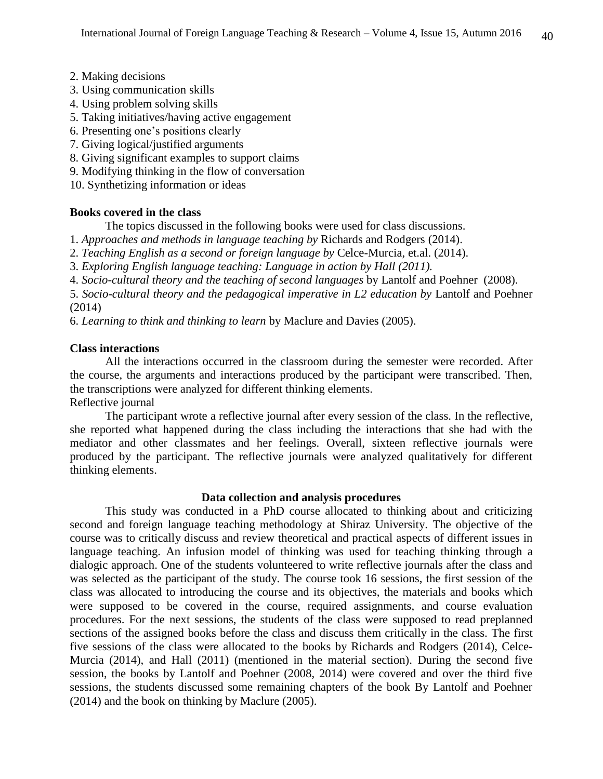- 2. Making decisions
- 3. Using communication skills
- 4. Using problem solving skills
- 5. Taking initiatives/having active engagement
- 6. Presenting one's positions clearly
- 7. Giving logical/justified arguments
- 8. Giving significant examples to support claims
- 9. Modifying thinking in the flow of conversation
- 10. Synthetizing information or ideas

### **Books covered in the class**

The topics discussed in the following books were used for class discussions.

1. *Approaches and methods in language teaching by* Richards and Rodgers (2014).

- 2. *Teaching English as a second or foreign language by* Celce-Murcia, et.al. (2014).
- 3. *Exploring English language teaching: Language in action by Hall (2011).*

4. *Socio-cultural theory and the teaching of second languages* by Lantolf and Poehner (2008).

5. *Socio-cultural theory and the pedagogical imperative in L2 education by* Lantolf and Poehner (2014)

6. *Learning to think and thinking to learn* by Maclure and Davies (2005).

### **Class interactions**

All the interactions occurred in the classroom during the semester were recorded. After the course, the arguments and interactions produced by the participant were transcribed. Then, the transcriptions were analyzed for different thinking elements. Reflective journal

The participant wrote a reflective journal after every session of the class. In the reflective, she reported what happened during the class including the interactions that she had with the mediator and other classmates and her feelings. Overall, sixteen reflective journals were produced by the participant. The reflective journals were analyzed qualitatively for different thinking elements.

### **Data collection and analysis procedures**

This study was conducted in a PhD course allocated to thinking about and criticizing second and foreign language teaching methodology at Shiraz University. The objective of the course was to critically discuss and review theoretical and practical aspects of different issues in language teaching. An infusion model of thinking was used for teaching thinking through a dialogic approach. One of the students volunteered to write reflective journals after the class and was selected as the participant of the study. The course took 16 sessions, the first session of the class was allocated to introducing the course and its objectives, the materials and books which were supposed to be covered in the course, required assignments, and course evaluation procedures. For the next sessions, the students of the class were supposed to read preplanned sections of the assigned books before the class and discuss them critically in the class. The first five sessions of the class were allocated to the books by Richards and Rodgers (2014), Celce-Murcia (2014), and Hall (2011) (mentioned in the material section). During the second five session, the books by Lantolf and Poehner (2008, 2014) were covered and over the third five sessions, the students discussed some remaining chapters of the book By Lantolf and Poehner (2014) and the book on thinking by Maclure (2005).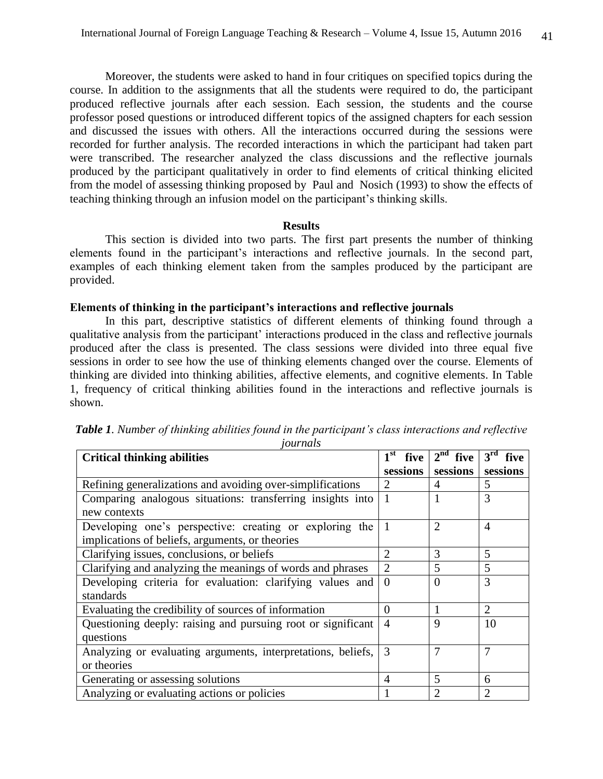Moreover, the students were asked to hand in four critiques on specified topics during the course. In addition to the assignments that all the students were required to do, the participant produced reflective journals after each session. Each session, the students and the course professor posed questions or introduced different topics of the assigned chapters for each session and discussed the issues with others. All the interactions occurred during the sessions were recorded for further analysis. The recorded interactions in which the participant had taken part were transcribed. The researcher analyzed the class discussions and the reflective journals produced by the participant qualitatively in order to find elements of critical thinking elicited from the model of assessing thinking proposed by Paul and Nosich (1993) to show the effects of teaching thinking through an infusion model on the participant's thinking skills.

#### **Results**

This section is divided into two parts. The first part presents the number of thinking elements found in the participant's interactions and reflective journals. In the second part, examples of each thinking element taken from the samples produced by the participant are provided.

#### **Elements of thinking in the participant's interactions and reflective journals**

In this part, descriptive statistics of different elements of thinking found through a qualitative analysis from the participant' interactions produced in the class and reflective journals produced after the class is presented. The class sessions were divided into three equal five sessions in order to see how the use of thinking elements changed over the course. Elements of thinking are divided into thinking abilities, affective elements, and cognitive elements. In Table 1, frequency of critical thinking abilities found in the interactions and reflective journals is shown.

| <b>Critical thinking abilities</b>                           | $1st$ five     | $2nd$ five     | 3 <sup>rd</sup><br>five |
|--------------------------------------------------------------|----------------|----------------|-------------------------|
|                                                              | sessions       | sessions       | sessions                |
| Refining generalizations and avoiding over-simplifications   | $\overline{2}$ | $\overline{A}$ | 5                       |
| Comparing analogous situations: transferring insights into   |                |                | 3                       |
| new contexts                                                 |                |                |                         |
| Developing one's perspective: creating or exploring the      |                | $\overline{2}$ | $\overline{4}$          |
| implications of beliefs, arguments, or theories              |                |                |                         |
| Clarifying issues, conclusions, or beliefs                   | $\overline{2}$ | 3              | 5                       |
| Clarifying and analyzing the meanings of words and phrases   | $\overline{2}$ | 5              | 5                       |
| Developing criteria for evaluation: clarifying values and    |                | $\Omega$       | 3                       |
| standards                                                    |                |                |                         |
| Evaluating the credibility of sources of information         | $\Omega$       |                | $\overline{2}$          |
| Questioning deeply: raising and pursuing root or significant |                | 9              | 10                      |
| questions                                                    |                |                |                         |
| Analyzing or evaluating arguments, interpretations, beliefs, |                | 7              | $\overline{7}$          |
| or theories                                                  |                |                |                         |
| Generating or assessing solutions                            | 4              | 5              | 6                       |
| Analyzing or evaluating actions or policies                  |                | $\overline{2}$ | $\overline{2}$          |

*Table 1. Number of thinking abilities found in the participant's class interactions and reflective journals*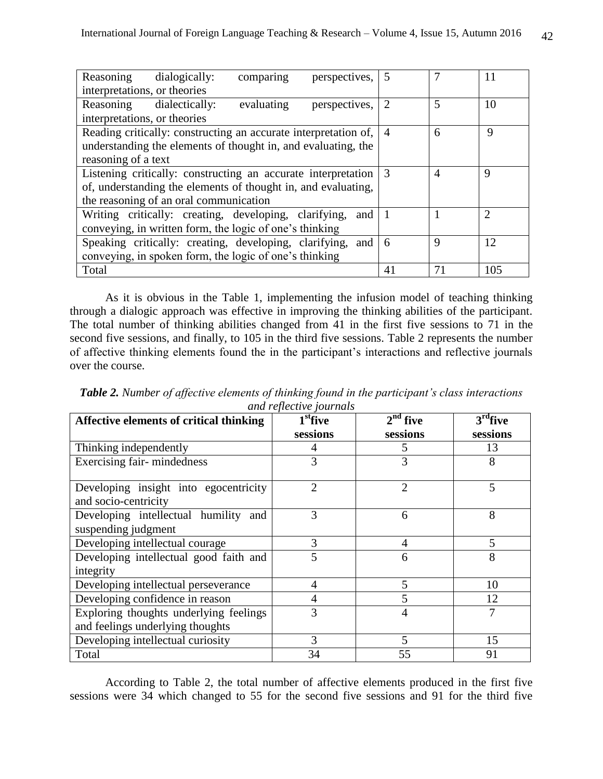| Reasoning                                                                       | dialogically:                                              | comparing  | perspectives,  |                |             | 11             |
|---------------------------------------------------------------------------------|------------------------------------------------------------|------------|----------------|----------------|-------------|----------------|
| interpretations, or theories                                                    |                                                            |            |                |                |             |                |
|                                                                                 | Reasoning dialectically:                                   | evaluating | perspectives,  | $\overline{2}$ | 5           | 10             |
| interpretations, or theories                                                    |                                                            |            |                |                |             |                |
| Reading critically: constructing an accurate interpretation of,                 |                                                            |            | $\overline{4}$ | 6              | 9           |                |
| understanding the elements of thought in, and evaluating, the                   |                                                            |            |                |                |             |                |
| reasoning of a text                                                             |                                                            |            |                |                |             |                |
| Listening critically: constructing an accurate interpretation $\vert 3 \rangle$ |                                                            |            |                | $\overline{A}$ | 9           |                |
| of, understanding the elements of thought in, and evaluating,                   |                                                            |            |                |                |             |                |
| the reasoning of an oral communication                                          |                                                            |            |                |                |             |                |
|                                                                                 | Writing critically: creating, developing, clarifying,      |            | and            |                |             | $\overline{2}$ |
| conveying, in written form, the logic of one's thinking                         |                                                            |            |                |                |             |                |
|                                                                                 | Speaking critically: creating, developing, clarifying, and |            |                | 6              | $\mathbf Q$ | 12             |
| conveying, in spoken form, the logic of one's thinking                          |                                                            |            |                |                |             |                |
| Total                                                                           |                                                            |            |                | 41             | 71          | 105            |

As it is obvious in the Table 1, implementing the infusion model of teaching thinking through a dialogic approach was effective in improving the thinking abilities of the participant. The total number of thinking abilities changed from 41 in the first five sessions to 71 in the second five sessions, and finally, to 105 in the third five sessions. Table 2 represents the number of affective thinking elements found the in the participant's interactions and reflective journals over the course.

| <i>and repective fournais</i><br>$1st$ five<br>$2^{nd}$ five<br>$3rd$ five<br>Affective elements of critical thinking |                |                |          |  |  |
|-----------------------------------------------------------------------------------------------------------------------|----------------|----------------|----------|--|--|
|                                                                                                                       | sessions       | sessions       | sessions |  |  |
| Thinking independently                                                                                                |                | 5              | 13       |  |  |
| Exercising fair-mindedness                                                                                            | 3              | 3              | 8        |  |  |
| Developing insight into egocentricity<br>and socio-centricity                                                         | $\overline{2}$ | $\overline{2}$ | 5        |  |  |
| Developing intellectual humility<br>and<br>suspending judgment                                                        | 3              | 6              | 8        |  |  |
| Developing intellectual courage                                                                                       | 3              | $\overline{4}$ | 5        |  |  |
| Developing intellectual good faith and<br>integrity                                                                   | 5              | 6              | 8        |  |  |
| Developing intellectual perseverance                                                                                  | 4              | 5              | 10       |  |  |
| Developing confidence in reason                                                                                       | 4              | 5              | 12       |  |  |
| Exploring thoughts underlying feelings                                                                                | 3              | 4              | 7        |  |  |
| and feelings underlying thoughts                                                                                      |                |                |          |  |  |
| Developing intellectual curiosity                                                                                     | 3              | 5              | 15       |  |  |
| Total                                                                                                                 | 34             | 55             | 91       |  |  |

*Table 2. Number of affective elements of thinking found in the participant's class interactions and reflective journals*

According to Table 2, the total number of affective elements produced in the first five sessions were 34 which changed to 55 for the second five sessions and 91 for the third five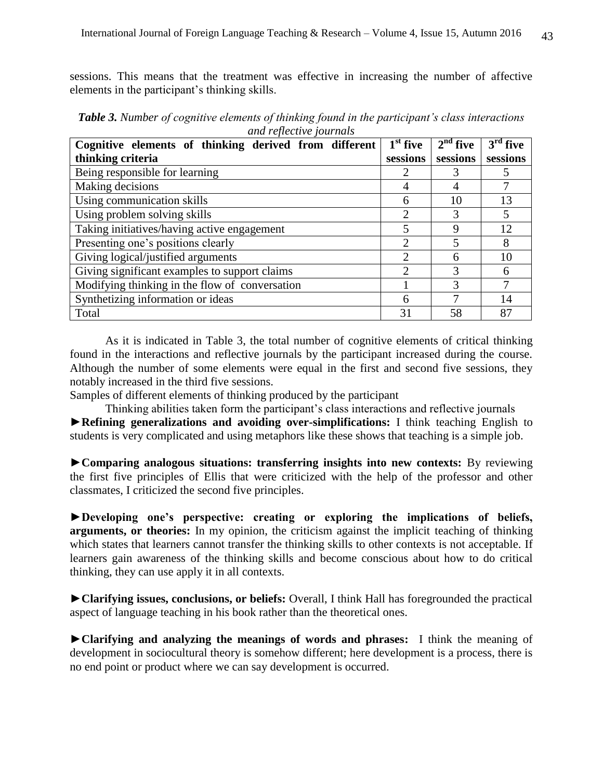sessions. This means that the treatment was effective in increasing the number of affective elements in the participant's thinking skills.

| Cognitive elements of thinking derived from different | $\overline{1}^{\text{st}}$ five | $2nd$ five    | $3rd$ five               |
|-------------------------------------------------------|---------------------------------|---------------|--------------------------|
| thinking criteria                                     | sessions                        | sessions      | sessions                 |
| Being responsible for learning                        | 2                               | 3             | 5                        |
| Making decisions                                      | 4                               | 4             | 7                        |
| Using communication skills                            | 6                               | 10            | 13                       |
| Using problem solving skills                          | $\overline{2}$                  | 3             | $\overline{\mathcal{L}}$ |
| Taking initiatives/having active engagement           | 5                               | 9             | 12                       |
| Presenting one's positions clearly                    | $\mathcal{D}$                   | 5             | 8                        |
| Giving logical/justified arguments                    | $\overline{2}$                  | 6             | 10                       |
| Giving significant examples to support claims         | $\mathcal{D}$                   | $\mathcal{R}$ | 6                        |
| Modifying thinking in the flow of conversation        |                                 | 3             | 7                        |
| Synthetizing information or ideas                     | 6                               |               | 14                       |
| Total                                                 | 31                              | 58            | 87                       |

*Table 3. Number of cognitive elements of thinking found in the participant's class interactions and reflective journals*

As it is indicated in Table 3, the total number of cognitive elements of critical thinking found in the interactions and reflective journals by the participant increased during the course. Although the number of some elements were equal in the first and second five sessions, they notably increased in the third five sessions.

Samples of different elements of thinking produced by the participant

Thinking abilities taken form the participant's class interactions and reflective journals **►Refining generalizations and avoiding over-simplifications:** I think teaching English to students is very complicated and using metaphors like these shows that teaching is a simple job.

**►Comparing analogous situations: transferring insights into new contexts:** By reviewing the first five principles of Ellis that were criticized with the help of the professor and other classmates, I criticized the second five principles.

**►Developing one's perspective: creating or exploring the implications of beliefs, arguments, or theories:** In my opinion, the criticism against the implicit teaching of thinking which states that learners cannot transfer the thinking skills to other contexts is not acceptable. If learners gain awareness of the thinking skills and become conscious about how to do critical thinking, they can use apply it in all contexts.

**►Clarifying issues, conclusions, or beliefs:** Overall, I think Hall has foregrounded the practical aspect of language teaching in his book rather than the theoretical ones.

**►Clarifying and analyzing the meanings of words and phrases:** I think the meaning of development in sociocultural theory is somehow different; here development is a process, there is no end point or product where we can say development is occurred.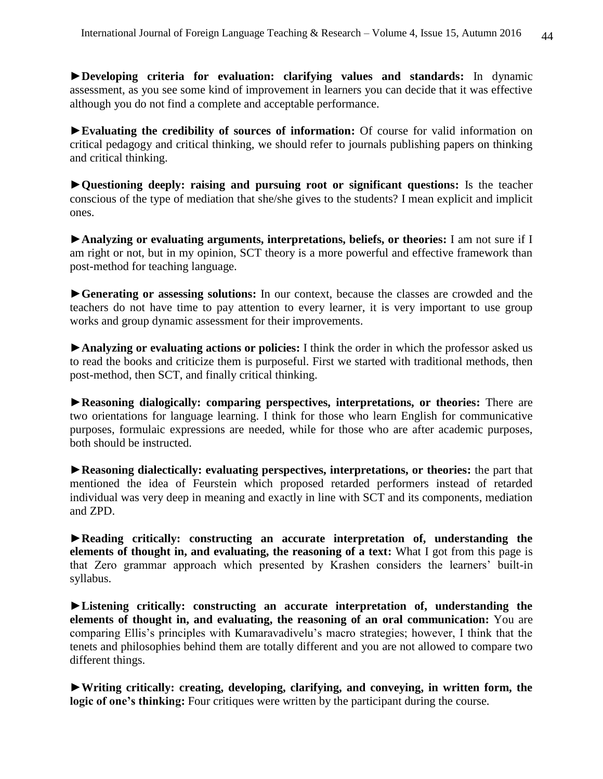**►Developing criteria for evaluation: clarifying values and standards:** In dynamic assessment, as you see some kind of improvement in learners you can decide that it was effective although you do not find a complete and acceptable performance.

**►Evaluating the credibility of sources of information:** Of course for valid information on critical pedagogy and critical thinking, we should refer to journals publishing papers on thinking and critical thinking.

**►Questioning deeply: raising and pursuing root or significant questions:** Is the teacher conscious of the type of mediation that she/she gives to the students? I mean explicit and implicit ones.

**►Analyzing or evaluating arguments, interpretations, beliefs, or theories:** I am not sure if I am right or not, but in my opinion, SCT theory is a more powerful and effective framework than post-method for teaching language.

**►Generating or assessing solutions:** In our context, because the classes are crowded and the teachers do not have time to pay attention to every learner, it is very important to use group works and group dynamic assessment for their improvements.

**►Analyzing or evaluating actions or policies:** I think the order in which the professor asked us to read the books and criticize them is purposeful. First we started with traditional methods, then post-method, then SCT, and finally critical thinking.

**►Reasoning dialogically: comparing perspectives, interpretations, or theories:** There are two orientations for language learning. I think for those who learn English for communicative purposes, formulaic expressions are needed, while for those who are after academic purposes, both should be instructed.

**►Reasoning dialectically: evaluating perspectives, interpretations, or theories:** the part that mentioned the idea of Feurstein which proposed retarded performers instead of retarded individual was very deep in meaning and exactly in line with SCT and its components, mediation and ZPD.

**►Reading critically: constructing an accurate interpretation of, understanding the elements of thought in, and evaluating, the reasoning of a text:** What I got from this page is that Zero grammar approach which presented by Krashen considers the learners' built-in syllabus.

**►Listening critically: constructing an accurate interpretation of, understanding the elements of thought in, and evaluating, the reasoning of an oral communication:** You are comparing Ellis's principles with Kumaravadivelu's macro strategies; however, I think that the tenets and philosophies behind them are totally different and you are not allowed to compare two different things.

**►Writing critically: creating, developing, clarifying, and conveying, in written form, the logic of one's thinking:** Four critiques were written by the participant during the course.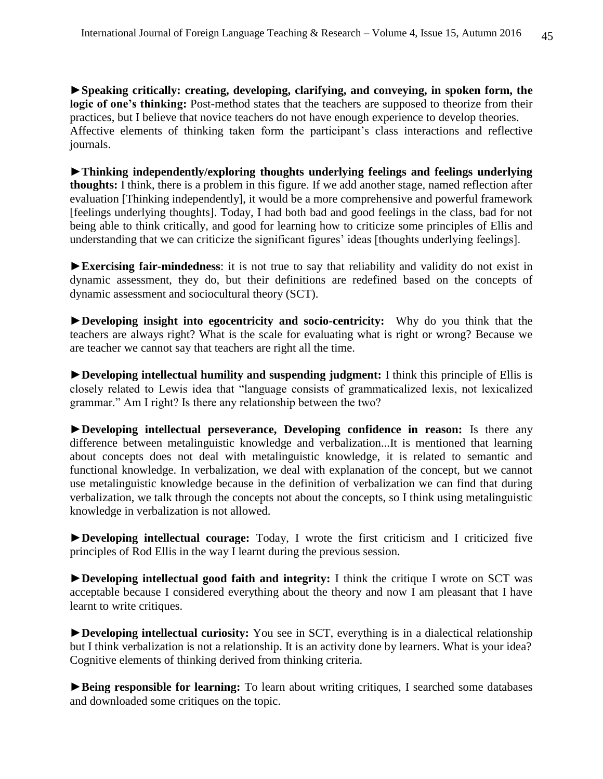**►Speaking critically: creating, developing, clarifying, and conveying, in spoken form, the**  logic of one's thinking: Post-method states that the teachers are supposed to theorize from their practices, but I believe that novice teachers do not have enough experience to develop theories. Affective elements of thinking taken form the participant's class interactions and reflective journals.

**►Thinking independently/exploring thoughts underlying feelings and feelings underlying thoughts:** I think, there is a problem in this figure. If we add another stage, named reflection after evaluation [Thinking independently], it would be a more comprehensive and powerful framework [feelings underlying thoughts]. Today, I had both bad and good feelings in the class, bad for not being able to think critically, and good for learning how to criticize some principles of Ellis and understanding that we can criticize the significant figures' ideas [thoughts underlying feelings].

**►Exercising fair-mindedness**: it is not true to say that reliability and validity do not exist in dynamic assessment, they do, but their definitions are redefined based on the concepts of dynamic assessment and sociocultural theory (SCT).

**►Developing insight into egocentricity and socio-centricity:** Why do you think that the teachers are always right? What is the scale for evaluating what is right or wrong? Because we are teacher we cannot say that teachers are right all the time.

**►Developing intellectual humility and suspending judgment:** I think this principle of Ellis is closely related to Lewis idea that "language consists of grammaticalized lexis, not lexicalized grammar." Am I right? Is there any relationship between the two?

**►Developing intellectual perseverance, Developing confidence in reason:** Is there any difference between metalinguistic knowledge and verbalization...It is mentioned that learning about concepts does not deal with metalinguistic knowledge, it is related to semantic and functional knowledge. In verbalization, we deal with explanation of the concept, but we cannot use metalinguistic knowledge because in the definition of verbalization we can find that during verbalization, we talk through the concepts not about the concepts, so I think using metalinguistic knowledge in verbalization is not allowed.

**►Developing intellectual courage:** Today, I wrote the first criticism and I criticized five principles of Rod Ellis in the way I learnt during the previous session.

**►Developing intellectual good faith and integrity:** I think the critique I wrote on SCT was acceptable because I considered everything about the theory and now I am pleasant that I have learnt to write critiques.

**►Developing intellectual curiosity:** You see in SCT, everything is in a dialectical relationship but I think verbalization is not a relationship. It is an activity done by learners. What is your idea? Cognitive elements of thinking derived from thinking criteria.

► Being responsible for learning: To learn about writing critiques, I searched some databases and downloaded some critiques on the topic.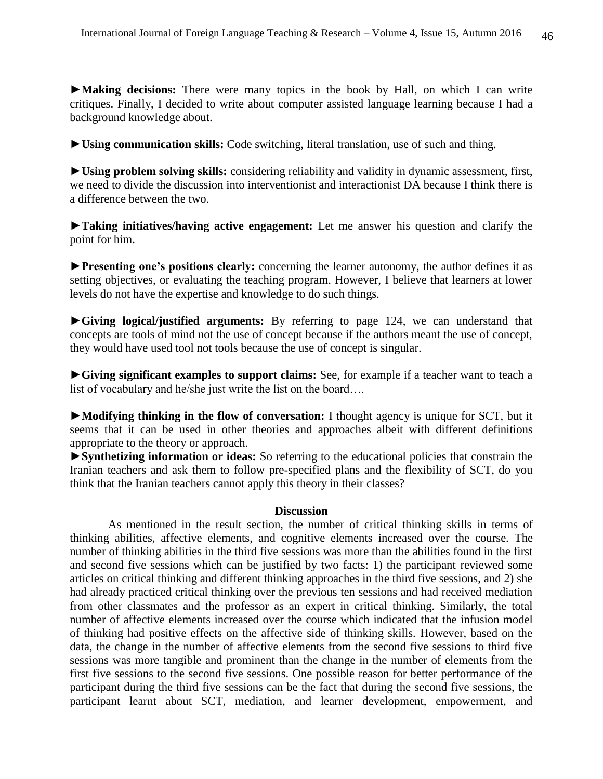**►Making decisions:** There were many topics in the book by Hall, on which I can write critiques. Finally, I decided to write about computer assisted language learning because I had a background knowledge about.

**►Using communication skills:** Code switching, literal translation, use of such and thing.

**►Using problem solving skills:** considering reliability and validity in dynamic assessment, first, we need to divide the discussion into interventionist and interactionist DA because I think there is a difference between the two.

**►Taking initiatives/having active engagement:** Let me answer his question and clarify the point for him.

**►Presenting one's positions clearly:** concerning the learner autonomy, the author defines it as setting objectives, or evaluating the teaching program. However, I believe that learners at lower levels do not have the expertise and knowledge to do such things.

**►Giving logical/justified arguments:** By referring to page 124, we can understand that concepts are tools of mind not the use of concept because if the authors meant the use of concept, they would have used tool not tools because the use of concept is singular.

**►Giving significant examples to support claims:** See, for example if a teacher want to teach a list of vocabulary and he/she just write the list on the board….

**►Modifying thinking in the flow of conversation:** I thought agency is unique for SCT, but it seems that it can be used in other theories and approaches albeit with different definitions appropriate to the theory or approach.

**►Synthetizing information or ideas:** So referring to the educational policies that constrain the Iranian teachers and ask them to follow pre-specified plans and the flexibility of SCT, do you think that the Iranian teachers cannot apply this theory in their classes?

### **Discussion**

 As mentioned in the result section, the number of critical thinking skills in terms of thinking abilities, affective elements, and cognitive elements increased over the course. The number of thinking abilities in the third five sessions was more than the abilities found in the first and second five sessions which can be justified by two facts: 1) the participant reviewed some articles on critical thinking and different thinking approaches in the third five sessions, and 2) she had already practiced critical thinking over the previous ten sessions and had received mediation from other classmates and the professor as an expert in critical thinking. Similarly, the total number of affective elements increased over the course which indicated that the infusion model of thinking had positive effects on the affective side of thinking skills. However, based on the data, the change in the number of affective elements from the second five sessions to third five sessions was more tangible and prominent than the change in the number of elements from the first five sessions to the second five sessions. One possible reason for better performance of the participant during the third five sessions can be the fact that during the second five sessions, the participant learnt about SCT, mediation, and learner development, empowerment, and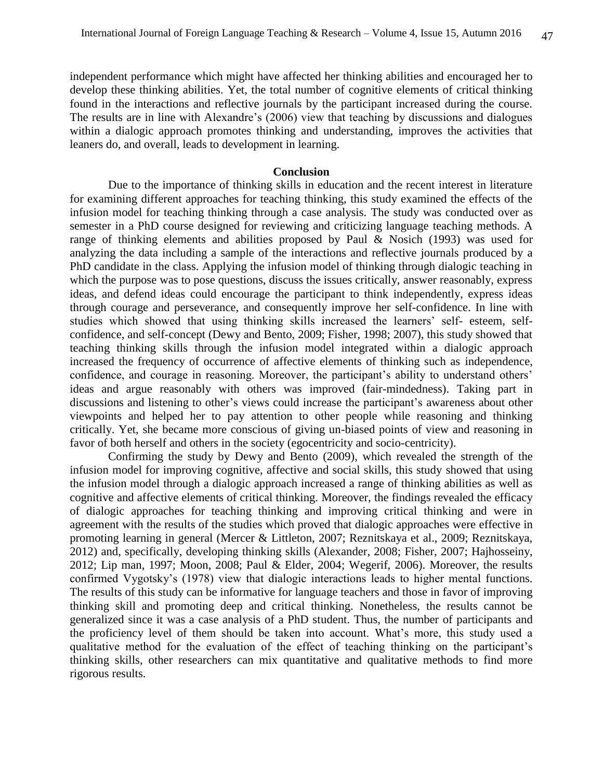independent performance which might have affected her thinking abilities and encouraged her to develop these thinking abilities. Yet, the total number of cognitive elements of critical thinking found in the interactions and reflective journals by the participant increased during the course. The results are in line with Alexandre's (2006) view that teaching by discussions and dialogues within a dialogic approach promotes thinking and understanding, improves the activities that leaners do, and overall, leads to development in learning.

#### **Conclusion**

 Due to the importance of thinking skills in education and the recent interest in literature for examining different approaches for teaching thinking, this study examined the effects of the infusion model for teaching thinking through a case analysis. The study was conducted over as semester in a PhD course designed for reviewing and criticizing language teaching methods. A range of thinking elements and abilities proposed by Paul & Nosich (1993) was used for analyzing the data including a sample of the interactions and reflective journals produced by a PhD candidate in the class. Applying the infusion model of thinking through dialogic teaching in which the purpose was to pose questions, discuss the issues critically, answer reasonably, express ideas, and defend ideas could encourage the participant to think independently, express ideas through courage and perseverance, and consequently improve her self-confidence. In line with studies which showed that using thinking skills increased the learners' self- esteem, selfconfidence, and self-concept (Dewy and Bento, 2009; Fisher, 1998; 2007), this study showed that teaching thinking skills through the infusion model integrated within a dialogic approach increased the frequency of occurrence of affective elements of thinking such as independence, confidence, and courage in reasoning. Moreover, the participant's ability to understand others' ideas and argue reasonably with others was improved (fair-mindedness). Taking part in discussions and listening to other's views could increase the participant's awareness about other viewpoints and helped her to pay attention to other people while reasoning and thinking critically. Yet, she became more conscious of giving un-biased points of view and reasoning in favor of both herself and others in the society (egocentricity and socio-centricity).

Confirming the study by Dewy and Bento (2009), which revealed the strength of the infusion model for improving cognitive, affective and social skills, this study showed that using the infusion model through a dialogic approach increased a range of thinking abilities as well as cognitive and affective elements of critical thinking. Moreover, the findings revealed the efficacy of dialogic approaches for teaching thinking and improving critical thinking and were in agreement with the results of the studies which proved that dialogic approaches were effective in promoting learning in general (Mercer & Littleton, 2007; Reznitskaya et al., 2009; Reznitskaya, 2012) and, specifically, developing thinking skills (Alexander, 2008; Fisher, 2007; Hajhosseiny, 2012; Lip man, 1997; Moon, 2008; Paul & Elder, 2004; Wegerif, 2006). Moreover, the results confirmed Vygotsky's (1978) view that dialogic interactions leads to higher mental functions. The results of this study can be informative for language teachers and those in favor of improving thinking skill and promoting deep and critical thinking. Nonetheless, the results cannot be generalized since it was a case analysis of a PhD student. Thus, the number of participants and the proficiency level of them should be taken into account. What's more, this study used a qualitative method for the evaluation of the effect of teaching thinking on the participant's thinking skills, other researchers can mix quantitative and qualitative methods to find more rigorous results.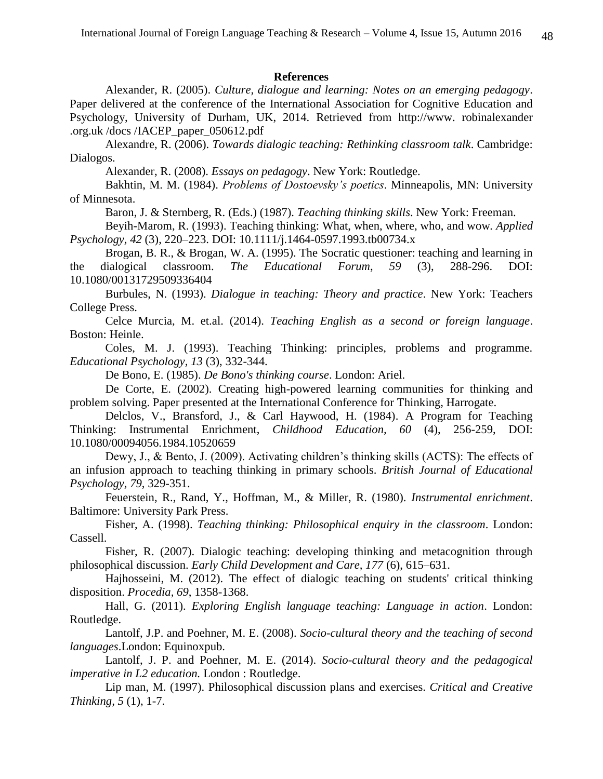#### **References**

Alexander, R. (2005). *Culture, dialogue and learning: Notes on an emerging pedagogy*. Paper delivered at the conference of the International Association for Cognitive Education and Psychology, University of Durham, UK, 2014. Retrieved from http://www. robinalexander .org.uk /docs /IACEP\_paper\_050612.pdf

Alexandre, R. (2006). *Towards dialogic teaching: Rethinking classroom talk*. Cambridge: Dialogos.

Alexander, R. (2008). *Essays on pedagogy*. New York: Routledge.

Bakhtin, M. M. (1984). *Problems of Dostoevsky's poetics*. Minneapolis, MN: University of Minnesota.

Baron, J. & Sternberg, R. (Eds.) (1987). *Teaching thinking skills*. New York: Freeman.

Beyih-Marom, R. (1993). Teaching thinking: What, when, where, who, and wow*. Applied Psychology, 42* (3), 220–223. DOI: 10.1111/j.1464-0597.1993.tb00734.x

Brogan, B. R., & Brogan, W. A. (1995). The Socratic questioner: teaching and learning in the dialogical classroom. *The Educational Forum*, *59* (3), 288-296. DOI: 10.1080/00131729509336404

Burbules, N. (1993). *Dialogue in teaching: Theory and practice*. New York: Teachers College Press.

Celce Murcia, M. et.al. (2014). *Teaching English as a second or foreign language*. Boston: Heinle.

Coles, M. J. (1993). Teaching Thinking: principles, problems and programme. *Educational Psychology, 13* (3), 332-344.

De Bono, E. (1985). *De Bono's thinking course*. London: Ariel.

De Corte, E. (2002). Creating high-powered learning communities for thinking and problem solving. Paper presented at the International Conference for Thinking, Harrogate.

Delclos, V., Bransford, J., & Carl Haywood, H. (1984). A Program for Teaching Thinking: Instrumental Enrichment, *Childhood Education, 60* (4), 256-259, DOI: 10.1080/00094056.1984.10520659

Dewy, J., & Bento, J. (2009). Activating children's thinking skills (ACTS): The effects of an infusion approach to teaching thinking in primary schools. *British Journal of Educational Psychology, 79*, 329-351.

Feuerstein, R., Rand, Y., Hoffman, M., & Miller, R. (1980). *Instrumental enrichment*. Baltimore: University Park Press.

Fisher, A. (1998). *Teaching thinking: Philosophical enquiry in the classroom*. London: Cassell.

Fisher, R. (2007). Dialogic teaching: developing thinking and metacognition through philosophical discussion. *Early Child Development and Care, 177* (6), 615–631.

Hajhosseini, M. (2012). The effect of dialogic teaching on students' critical thinking disposition. *Procedia, 69*, 1358-1368.

Hall, G. (2011). *Exploring English language teaching: Language in action*. London: Routledge.

Lantolf, J.P. and Poehner, M. E. (2008). *Socio-cultural theory and the teaching of second languages*.London: Equinoxpub.

Lantolf, J. P. and Poehner, M. E. (2014). *Socio-cultural theory and the pedagogical imperative in L2 education.* London : Routledge.

Lip man, M. (1997). Philosophical discussion plans and exercises. *Critical and Creative Thinking, 5* (1), 1-7.